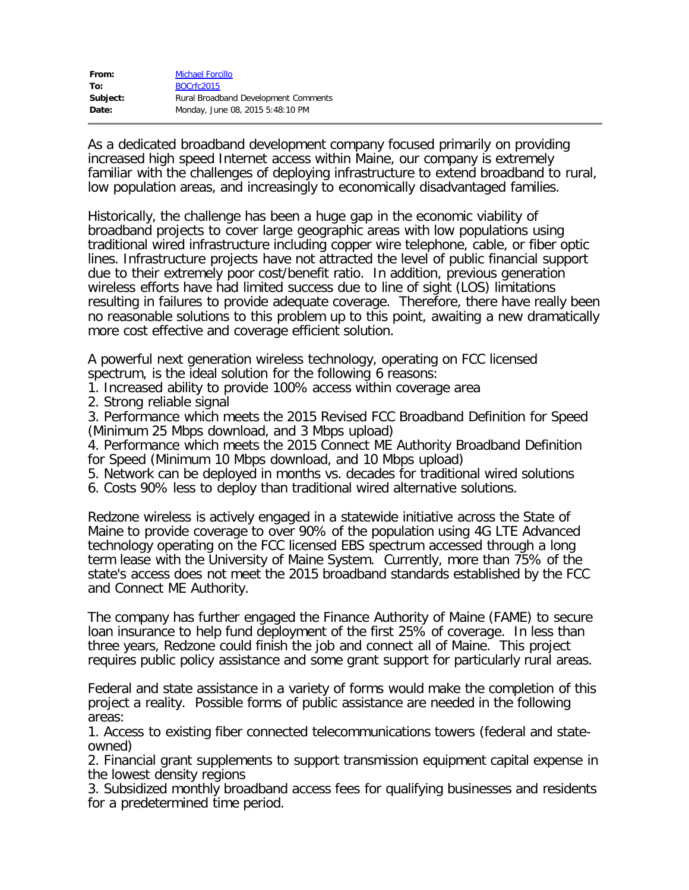| From:    | <b>Michael Forcillo</b>              |
|----------|--------------------------------------|
| To:      | BOCrfc2015                           |
| Subject: | Rural Broadband Development Comments |
| Date:    | Monday, June 08, 2015 5:48:10 PM     |

As a dedicated broadband development company focused primarily on providing increased high speed Internet access within Maine, our company is extremely familiar with the challenges of deploying infrastructure to extend broadband to rural, low population areas, and increasingly to economically disadvantaged families.

Historically, the challenge has been a huge gap in the economic viability of broadband projects to cover large geographic areas with low populations using traditional wired infrastructure including copper wire telephone, cable, or fiber optic lines. Infrastructure projects have not attracted the level of public financial support due to their extremely poor cost/benefit ratio. In addition, previous generation wireless efforts have had limited success due to line of sight (LOS) limitations resulting in failures to provide adequate coverage. Therefore, there have really been no reasonable solutions to this problem up to this point, awaiting a new dramatically more cost effective and coverage efficient solution.

A powerful next generation wireless technology, operating on FCC licensed spectrum, is the ideal solution for the following 6 reasons:

1. Increased ability to provide 100% access within coverage area

2. Strong reliable signal

3. Performance which meets the 2015 Revised FCC Broadband Definition for Speed (Minimum 25 Mbps download, and 3 Mbps upload)

4. Performance which meets the 2015 Connect ME Authority Broadband Definition for Speed (Minimum 10 Mbps download, and 10 Mbps upload)

5. Network can be deployed in months vs. decades for traditional wired solutions

6. Costs 90% less to deploy than traditional wired alternative solutions.

Redzone wireless is actively engaged in a statewide initiative across the State of Maine to provide coverage to over 90% of the population using 4G LTE Advanced technology operating on the FCC licensed EBS spectrum accessed through a long term lease with the University of Maine System. Currently, more than 75% of the state's access does not meet the 2015 broadband standards established by the FCC and Connect ME Authority.

The company has further engaged the Finance Authority of Maine (FAME) to secure loan insurance to help fund deployment of the first 25% of coverage. In less than three years, Redzone could finish the job and connect all of Maine. This project requires public policy assistance and some grant support for particularly rural areas.

Federal and state assistance in a variety of forms would make the completion of this project a reality. Possible forms of public assistance are needed in the following areas:

1. Access to existing fiber connected telecommunications towers (federal and stateowned)

2. Financial grant supplements to support transmission equipment capital expense in the lowest density regions

3. Subsidized monthly broadband access fees for qualifying businesses and residents for a predetermined time period.